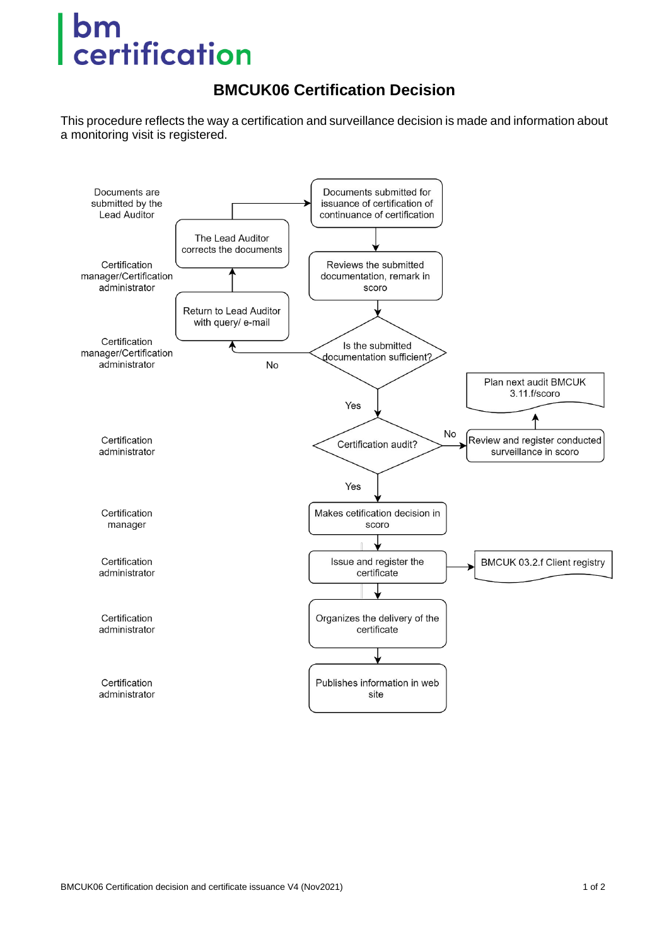## bm certification

## **BMCUK06 Certification Decision**

This procedure reflects the way a certification and surveillance decision is made and information about a monitoring visit is registered.